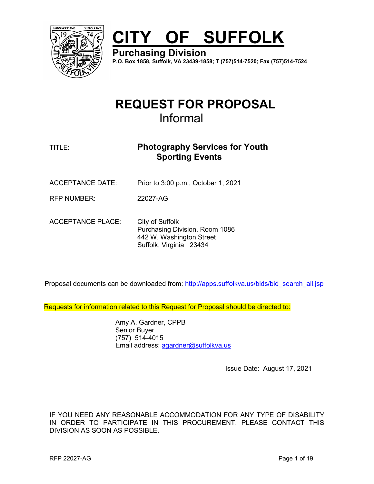

# **CITY OF SUFFOLK**

**Purchasing Division**

**P.O. Box 1858, Suffolk, VA 23439-1858; T (757)514-7520; Fax (757)514-7524**

## **REQUEST FOR PROPOSAL** Informal

## TITLE: **Photography Services for Youth Sporting Events**

ACCEPTANCE DATE: Prior to 3:00 p.m., October 1, 2021

RFP NUMBER: 22027-AG

ACCEPTANCE PLACE: City of Suffolk Purchasing Division, Room 1086 442 W. Washington Street Suffolk, Virginia 23434

Proposal documents can be downloaded from: [http://apps.suffolkva.us/bids/bid\\_search\\_all.jsp](http://apps.suffolkva.us/bids/bid_search_all.jsp)

Requests for information related to this Request for Proposal should be directed to:

Amy A. Gardner, CPPB Senior Buyer (757) 514-4015 Email address: [agardner@suffolkva.us](mailto:agardner@suffolkva.us)

Issue Date: August 17, 2021

IF YOU NEED ANY REASONABLE ACCOMMODATION FOR ANY TYPE OF DISABILITY IN ORDER TO PARTICIPATE IN THIS PROCUREMENT, PLEASE CONTACT THIS DIVISION AS SOON AS POSSIBLE.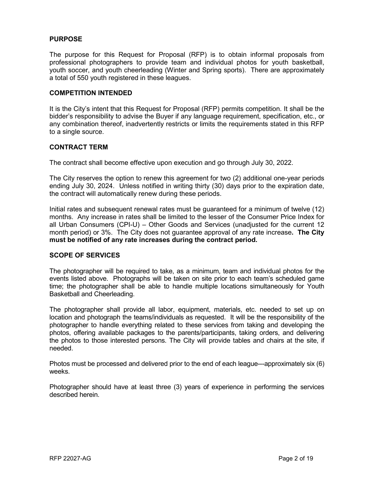#### **PURPOSE**

The purpose for this Request for Proposal (RFP) is to obtain informal proposals from professional photographers to provide team and individual photos for youth basketball, youth soccer, and youth cheerleading (Winter and Spring sports). There are approximately a total of 550 youth registered in these leagues.

#### **COMPETITION INTENDED**

It is the City's intent that this Request for Proposal (RFP) permits competition. It shall be the bidder's responsibility to advise the Buyer if any language requirement, specification, etc., or any combination thereof, inadvertently restricts or limits the requirements stated in this RFP to a single source.

#### **CONTRACT TERM**

The contract shall become effective upon execution and go through July 30, 2022.

The City reserves the option to renew this agreement for two (2) additional one-year periods ending July 30, 2024. Unless notified in writing thirty (30) days prior to the expiration date, the contract will automatically renew during these periods.

Initial rates and subsequent renewal rates must be guaranteed for a minimum of twelve (12) months. Any increase in rates shall be limited to the lesser of the Consumer Price Index for all Urban Consumers (CPI-U) – Other Goods and Services (unadjusted for the current 12 month period) or 3%. The City does not guarantee approval of any rate increase**. The City must be notified of any rate increases during the contract period.**

#### **SCOPE OF SERVICES**

The photographer will be required to take, as a minimum, team and individual photos for the events listed above. Photographs will be taken on site prior to each team's scheduled game time; the photographer shall be able to handle multiple locations simultaneously for Youth Basketball and Cheerleading.

The photographer shall provide all labor, equipment, materials, etc. needed to set up on location and photograph the teams/individuals as requested. It will be the responsibility of the photographer to handle everything related to these services from taking and developing the photos, offering available packages to the parents/participants, taking orders, and delivering the photos to those interested persons. The City will provide tables and chairs at the site, if needed.

Photos must be processed and delivered prior to the end of each league---approximately six (6) weeks.

Photographer should have at least three (3) years of experience in performing the services described herein.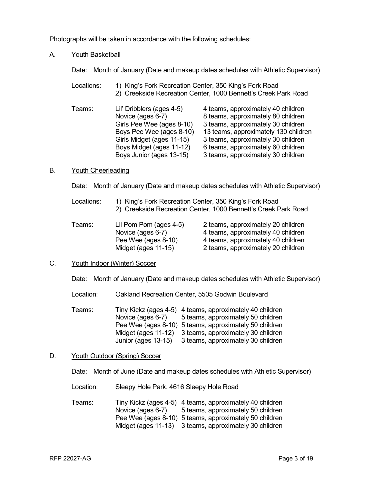Photographs will be taken in accordance with the following schedules:

#### A. Youth Basketball

Date: Month of January (Date and makeup dates schedules with Athletic Supervisor)

| Locations: | 1) King's Fork Recreation Center, 350 King's Fork Road<br>2) Creekside Recreation Center, 1000 Bennett's Creek Park Road |                                                                          |  |
|------------|--------------------------------------------------------------------------------------------------------------------------|--------------------------------------------------------------------------|--|
| Teams:     | Lil' Dribblers (ages 4-5)<br>Novice (ages 6-7)                                                                           | 4 teams, approximately 40 children<br>8 teams, approximately 80 children |  |
|            | Girls Pee Wee (ages 8-10)                                                                                                | 3 teams, approximately 30 children                                       |  |
|            | Boys Pee Wee (ages 8-10)                                                                                                 | 13 teams, approximately 130 children                                     |  |
|            | Girls Midget (ages 11-15)                                                                                                | 3 teams, approximately 30 children                                       |  |
|            | Boys Midget (ages 11-12)                                                                                                 | 6 teams, approximately 60 children                                       |  |
|            | Boys Junior (ages 13-15)                                                                                                 | 3 teams, approximately 30 children                                       |  |

#### B. Youth Cheerleading

Date: Month of January (Date and makeup dates schedules with Athletic Supervisor)

| Locations: | 1) King's Fork Recreation Center, 350 King's Fork Road         |
|------------|----------------------------------------------------------------|
|            | 2) Creekside Recreation Center, 1000 Bennett's Creek Park Road |

| Teams: | Lil Pom Pom (ages 4-5) | 2 teams, approximately 20 children |
|--------|------------------------|------------------------------------|
|        | Novice (ages 6-7)      | 4 teams, approximately 40 children |
|        | Pee Wee (ages 8-10)    | 4 teams, approximately 40 children |
|        | Midget (ages 11-15)    | 2 teams, approximately 20 children |

#### C. Youth Indoor (Winter) Soccer

Date: Month of January (Date and makeup dates schedules with Athletic Supervisor)

Location: Oakland Recreation Center, 5505 Godwin Boulevard

Teams: Tiny Kickz (ages 4-5) 4 teams, approximately 40 children Novice (ages 6-7) 5 teams, approximately 50 children Pee Wee (ages 8-10) 5 teams, approximately 50 children Midget (ages 11-12) 3 teams, approximately 30 children Junior (ages 13-15) 3 teams, approximately 30 children

#### D. Youth Outdoor (Spring) Soccer

Date: Month of June (Date and makeup dates schedules with Athletic Supervisor)

Location: Sleepy Hole Park, 4616 Sleepy Hole Road

Teams: Tiny Kickz (ages 4-5) 4 teams, approximately 40 children Novice (ages 6-7) 5 teams, approximately 50 children Pee Wee (ages 8-10) 5 teams, approximately 50 children Midget (ages 11-13) 3 teams, approximately 30 children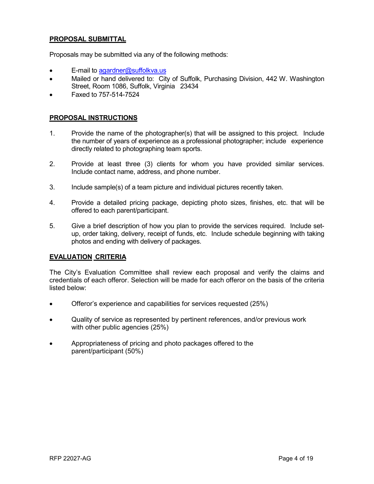#### **PROPOSAL SUBMITTAL**

Proposals may be submitted via any of the following methods:

- E-mail to [agardner@suffolkva.us](mailto:agardner@suffolkva.us)
- Mailed or hand delivered to: City of Suffolk, Purchasing Division, 442 W. Washington Street, Room 1086, Suffolk, Virginia 23434
- Faxed to 757-514-7524

#### **PROPOSAL INSTRUCTIONS**

- 1. Provide the name of the photographer(s) that will be assigned to this project. Include the number of years of experience as a professional photographer; include experience directly related to photographing team sports.
- 2. Provide at least three (3) clients for whom you have provided similar services. Include contact name, address, and phone number.
- 3. Include sample(s) of a team picture and individual pictures recently taken.
- 4. Provide a detailed pricing package, depicting photo sizes, finishes, etc. that will be offered to each parent/participant.
- 5. Give a brief description of how you plan to provide the services required. Include setup, order taking, delivery, receipt of funds, etc. Include schedule beginning with taking photos and ending with delivery of packages.

#### **EVALUATION CRITERIA**

The City's Evaluation Committee shall review each proposal and verify the claims and credentials of each offeror. Selection will be made for each offeror on the basis of the criteria listed below:

- Offeror's experience and capabilities for services requested (25%)
- Quality of service as represented by pertinent references, and/or previous work with other public agencies (25%)
- Appropriateness of pricing and photo packages offered to the parent/participant (50%)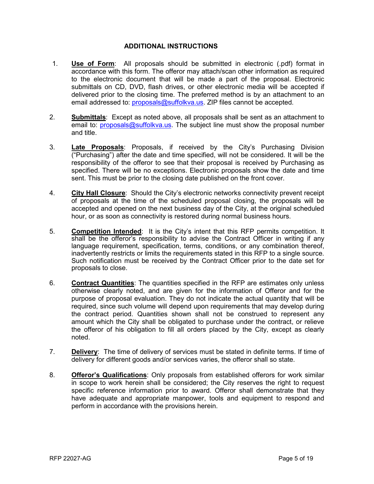#### **ADDITIONAL INSTRUCTIONS**

- 1. **Use of Form**: All proposals should be submitted in electronic (.pdf) format in accordance with this form. The offeror may attach/scan other information as required to the electronic document that will be made a part of the proposal. Electronic submittals on CD, DVD, flash drives, or other electronic media will be accepted if delivered prior to the closing time. The preferred method is by an attachment to an email addressed to: [proposals@suffolkva.us.](mailto:proposals@suffolkva.us) ZIP files cannot be accepted.
- 2. **Submittals**: Except as noted above, all proposals shall be sent as an attachment to email to: [proposals@suffolkva.us.](mailto:proposals@suffolkva.us) The subject line must show the proposal number and title.
- 3. **Late Proposals**: Proposals, if received by the City's Purchasing Division ("Purchasing") after the date and time specified, will not be considered. It will be the responsibility of the offeror to see that their proposal is received by Purchasing as specified. There will be no exceptions. Electronic proposals show the date and time sent. This must be prior to the closing date published on the front cover.
- 4. **City Hall Closure**: Should the City's electronic networks connectivity prevent receipt of proposals at the time of the scheduled proposal closing, the proposals will be accepted and opened on the next business day of the City, at the original scheduled hour, or as soon as connectivity is restored during normal business hours.
- 5. **Competition Intended**: It is the City's intent that this RFP permits competition. It shall be the offeror's responsibility to advise the Contract Officer in writing if any language requirement, specification, terms, conditions, or any combination thereof, inadvertently restricts or limits the requirements stated in this RFP to a single source. Such notification must be received by the Contract Officer prior to the date set for proposals to close.
- 6. **Contract Quantities**: The quantities specified in the RFP are estimates only unless otherwise clearly noted, and are given for the information of Offeror and for the purpose of proposal evaluation. They do not indicate the actual quantity that will be required, since such volume will depend upon requirements that may develop during the contract period. Quantities shown shall not be construed to represent any amount which the City shall be obligated to purchase under the contract, or relieve the offeror of his obligation to fill all orders placed by the City, except as clearly noted.
- 7. **Delivery**: The time of delivery of services must be stated in definite terms. If time of delivery for different goods and/or services varies, the offeror shall so state.
- 8. **Offeror's Qualifications**: Only proposals from established offerors for work similar in scope to work herein shall be considered; the City reserves the right to request specific reference information prior to award. Offeror shall demonstrate that they have adequate and appropriate manpower, tools and equipment to respond and perform in accordance with the provisions herein.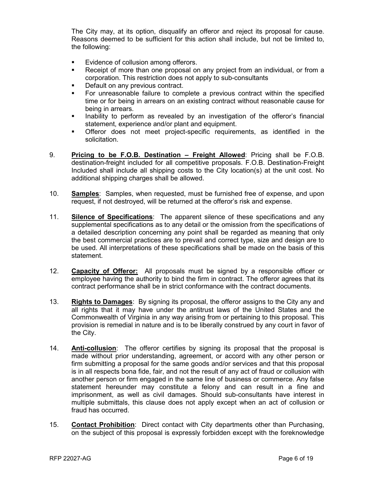The City may, at its option, disqualify an offeror and reject its proposal for cause. Reasons deemed to be sufficient for this action shall include, but not be limited to, the following:

- Evidence of collusion among offerors.
- Receipt of more than one proposal on any project from an individual, or from a corporation. This restriction does not apply to sub-consultants
- Default on any previous contract.
- For unreasonable failure to complete a previous contract within the specified time or for being in arrears on an existing contract without reasonable cause for being in arrears.
- **Inability to perform as revealed by an investigation of the offeror's financial** statement, experience and/or plant and equipment.
- Offeror does not meet project-specific requirements, as identified in the solicitation.
- 9. **Pricing to be F.O.B. Destination – Freight Allowed**: Pricing shall be F.O.B. destination-freight included for all competitive proposals. F.O.B. Destination-Freight Included shall include all shipping costs to the City location(s) at the unit cost. No additional shipping charges shall be allowed.
- 10. **Samples**: Samples, when requested, must be furnished free of expense, and upon request, if not destroyed, will be returned at the offeror's risk and expense.
- 11. **Silence of Specifications**: The apparent silence of these specifications and any supplemental specifications as to any detail or the omission from the specifications of a detailed description concerning any point shall be regarded as meaning that only the best commercial practices are to prevail and correct type, size and design are to be used. All interpretations of these specifications shall be made on the basis of this statement.
- 12. **Capacity of Offeror:** All proposals must be signed by a responsible officer or employee having the authority to bind the firm in contract. The offeror agrees that its contract performance shall be in strict conformance with the contract documents.
- 13. **Rights to Damages**: By signing its proposal, the offeror assigns to the City any and all rights that it may have under the antitrust laws of the United States and the Commonwealth of Virginia in any way arising from or pertaining to this proposal. This provision is remedial in nature and is to be liberally construed by any court in favor of the City.
- 14. **Anti-collusion**: The offeror certifies by signing its proposal that the proposal is made without prior understanding, agreement, or accord with any other person or firm submitting a proposal for the same goods and/or services and that this proposal is in all respects bona fide, fair, and not the result of any act of fraud or collusion with another person or firm engaged in the same line of business or commerce. Any false statement hereunder may constitute a felony and can result in a fine and imprisonment, as well as civil damages. Should sub-consultants have interest in multiple submittals, this clause does not apply except when an act of collusion or fraud has occurred.
- 15. **Contact Prohibition**: Direct contact with City departments other than Purchasing, on the subject of this proposal is expressly forbidden except with the foreknowledge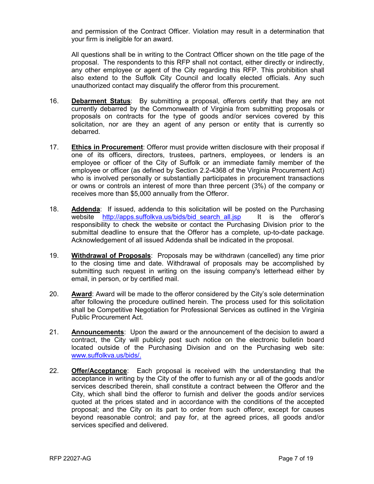and permission of the Contract Officer. Violation may result in a determination that your firm is ineligible for an award.

All questions shall be in writing to the Contract Officer shown on the title page of the proposal. The respondents to this RFP shall not contact, either directly or indirectly, any other employee or agent of the City regarding this RFP. This prohibition shall also extend to the Suffolk City Council and locally elected officials. Any such unauthorized contact may disqualify the offeror from this procurement.

- 16. **Debarment Status**: By submitting a proposal, offerors certify that they are not currently debarred by the Commonwealth of Virginia from submitting proposals or proposals on contracts for the type of goods and/or services covered by this solicitation, nor are they an agent of any person or entity that is currently so debarred.
- 17. **Ethics in Procurement**: Offeror must provide written disclosure with their proposal if one of its officers, directors, trustees, partners, employees, or lenders is an employee or officer of the City of Suffolk or an immediate family member of the employee or officer (as defined by Section 2.2-4368 of the Virginia Procurement Act) who is involved personally or substantially participates in procurement transactions or owns or controls an interest of more than three percent (3%) of the company or receives more than \$5,000 annually from the Offeror.
- 18. **Addenda**: If issued, addenda to this solicitation will be posted on the Purchasing<br>website http://apps.suffolkva.us/bids/bid search all.isp lt is the offeror's website http://apps.suffolkva.us/bids/bid search all.jsp responsibility to check the website or contact the Purchasing Division prior to the submittal deadline to ensure that the Offeror has a complete, up-to-date package. Acknowledgement of all issued Addenda shall be indicated in the proposal.
- 19. **Withdrawal of Proposals**: Proposals may be withdrawn (cancelled) any time prior to the closing time and date. Withdrawal of proposals may be accomplished by submitting such request in writing on the issuing company's letterhead either by email, in person, or by certified mail.
- 20. **Award**: Award will be made to the offeror considered by the City's sole determination after following the procedure outlined herein. The process used for this solicitation shall be Competitive Negotiation for Professional Services as outlined in the Virginia Public Procurement Act.
- 21. **Announcements**: Upon the award or the announcement of the decision to award a contract, the City will publicly post such notice on the electronic bulletin board located outside of the Purchasing Division and on the Purchasing web site: [www.suffolkva.us/bids/.](http://www.suffolkva.us/bids/)
- 22. **Offer/Acceptance**: Each proposal is received with the understanding that the acceptance in writing by the City of the offer to furnish any or all of the goods and/or services described therein, shall constitute a contract between the Offeror and the City, which shall bind the offeror to furnish and deliver the goods and/or services quoted at the prices stated and in accordance with the conditions of the accepted proposal; and the City on its part to order from such offeror, except for causes beyond reasonable control; and pay for, at the agreed prices, all goods and/or services specified and delivered.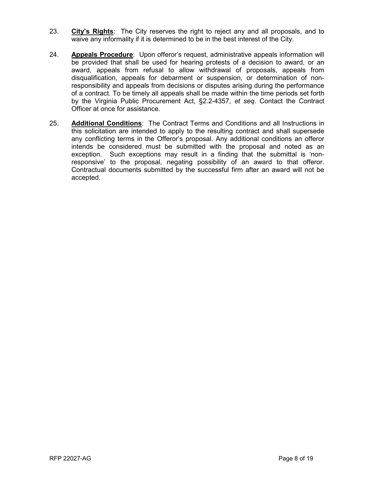- 23. **City's Rights**: The City reserves the right to reject any and all proposals, and to waive any informality if it is determined to be in the best interest of the City.
- 24. **Appeals Procedure**: Upon offeror's request, administrative appeals information will be provided that shall be used for hearing protests of a decision to award, or an award, appeals from refusal to allow withdrawal of proposals, appeals from disqualification, appeals for debarment or suspension, or determination of nonresponsibility and appeals from decisions or disputes arising during the performance of a contract. To be timely all appeals shall be made within the time periods set forth by the Virginia Public Procurement Act, §2.2-4357, *et seq*. Contact the Contract Officer at once for assistance.
- 25. **Additional Conditions**: The Contract Terms and Conditions and all Instructions in this solicitation are intended to apply to the resulting contract and shall supersede any conflicting terms in the Offeror's proposal. Any additional conditions an offeror intends be considered must be submitted with the proposal and noted as an exception. Such exceptions may result in a finding that the submittal is 'nonresponsive' to the proposal, negating possibility of an award to that offeror. Contractual documents submitted by the successful firm after an award will not be accepted.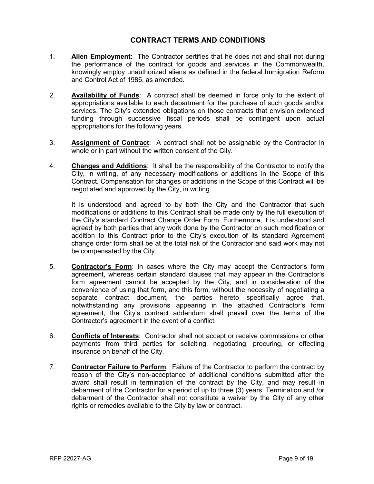#### **CONTRACT TERMS AND CONDITIONS**

- 1. **Alien Employment**: The Contractor certifies that he does not and shall not during the performance of the contract for goods and services in the Commonwealth, knowingly employ unauthorized aliens as defined in the federal Immigration Reform and Control Act of 1986, as amended.
- 2. **Availability of Funds**: A contract shall be deemed in force only to the extent of appropriations available to each department for the purchase of such goods and/or services. The City's extended obligations on those contracts that envision extended funding through successive fiscal periods shall be contingent upon actual appropriations for the following years.
- 3. **Assignment of Contract**: A contract shall not be assignable by the Contractor in whole or in part without the written consent of the City.
- 4. **Changes and Additions**: It shall be the responsibility of the Contractor to notify the City, in writing, of any necessary modifications or additions in the Scope of this Contract. Compensation for changes or additions in the Scope of this Contract will be negotiated and approved by the City, in writing.

It is understood and agreed to by both the City and the Contractor that such modifications or additions to this Contract shall be made only by the full execution of the City's standard Contract Change Order Form. Furthermore, it is understood and agreed by both parties that any work done by the Contractor on such modification or addition to this Contract prior to the City's execution of its standard Agreement change order form shall be at the total risk of the Contractor and said work may not be compensated by the City.

- 5. **Contractor's Form**: In cases where the City may accept the Contractor's form agreement, whereas certain standard clauses that may appear in the Contractor's form agreement cannot be accepted by the City, and in consideration of the convenience of using that form, and this form, without the necessity of negotiating a separate contract document, the parties hereto specifically agree that, notwithstanding any provisions appearing in the attached Contractor's form agreement, the City's contract addendum shall prevail over the terms of the Contractor's agreement in the event of a conflict.
- 6. **Conflicts of Interests**: Contractor shall not accept or receive commissions or other payments from third parties for soliciting, negotiating, procuring, or effecting insurance on behalf of the City.
- 7. **Contractor Failure to Perform**: Failure of the Contractor to perform the contract by reason of the City's non-acceptance of additional conditions submitted after the award shall result in termination of the contract by the City, and may result in debarment of the Contractor for a period of up to three (3) years. Termination and /or debarment of the Contractor shall not constitute a waiver by the City of any other rights or remedies available to the City by law or contract.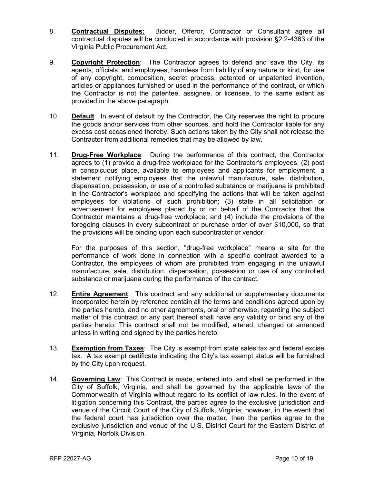- 8. **Contractual Disputes:** Bidder, Offeror, Contractor or Consultant agree all contractual disputes will be conducted in accordance with provision §2.2-4363 of the Virginia Public Procurement Act.
- 9. **Copyright Protection**: The Contractor agrees to defend and save the City, its agents, officials, and employees, harmless from liability of any nature or kind, for use of any copyright, composition, secret process, patented or unpatented invention, articles or appliances furnished or used in the performance of the contract, or which the Contractor is not the patentee, assignee, or licensee, to the same extent as provided in the above paragraph.
- 10. **Default**: In event of default by the Contractor, the City reserves the right to procure the goods and/or services from other sources, and hold the Contractor liable for any excess cost occasioned thereby. Such actions taken by the City shall not release the Contractor from additional remedies that may be allowed by law.
- 11. **Drug-Free Workplace**: During the performance of this contract, the Contractor agrees to (1) provide a drug-free workplace for the Contractor's employees; (2) post in conspicuous place, available to employees and applicants for employment, a statement notifying employees that the unlawful manufacture, sale, distribution, dispensation, possession, or use of a controlled substance or marijuana is prohibited in the Contractor's workplace and specifying the actions that will be taken against employees for violations of such prohibition; (3) state in all solicitation or advertisement for employees placed by or on behalf of the Contractor that the Contractor maintains a drug-free workplace; and (4) include the provisions of the foregoing clauses in every subcontract or purchase order of over \$10,000, so that the provisions will be binding upon each subcontractor or vendor.

For the purposes of this section, "drug-free workplace" means a site for the performance of work done in connection with a specific contract awarded to a Contractor, the employees of whom are prohibited from engaging in the unlawful manufacture, sale, distribution, dispensation, possession or use of any controlled substance or marijuana during the performance of the contract.

- 12. **Entire Agreement**: This contract and any additional or supplementary documents incorporated herein by reference contain all the terms and conditions agreed upon by the parties hereto, and no other agreements, oral or otherwise, regarding the subject matter of this contract or any part thereof shall have any validity or bind any of the parties hereto. This contract shall not be modified, altered, changed or amended unless in writing and signed by the parties hereto.
- 13. **Exemption from Taxes**: The City is exempt from state sales tax and federal excise tax. A tax exempt certificate indicating the City's tax exempt status will be furnished by the City upon request.
- 14. **Governing Law**: This Contract is made, entered into, and shall be performed in the City of Suffolk, Virginia, and shall be governed by the applicable laws of the Commonwealth of Virginia without regard to its conflict of law rules. In the event of litigation concerning this Contract, the parties agree to the exclusive jurisdiction and venue of the Circuit Court of the City of Suffolk, Virginia; however, in the event that the federal court has jurisdiction over the matter, then the parties agree to the exclusive jurisdiction and venue of the U.S. District Court for the Eastern District of Virginia, Norfolk Division.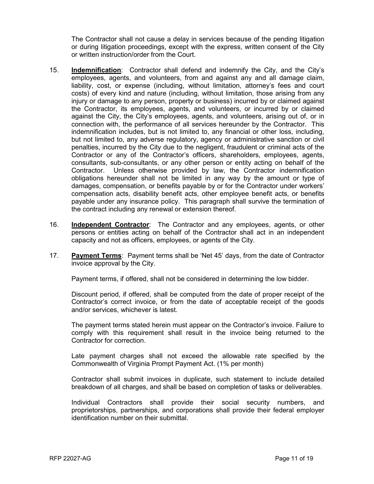The Contractor shall not cause a delay in services because of the pending litigation or during litigation proceedings, except with the express, written consent of the City or written instruction/order from the Court.

- 15. **Indemnification**: Contractor shall defend and indemnify the City, and the City's employees, agents, and volunteers, from and against any and all damage claim, liability, cost, or expense (including, without limitation, attorney's fees and court costs) of every kind and nature (including, without limitation, those arising from any injury or damage to any person, property or business) incurred by or claimed against the Contractor, its employees, agents, and volunteers, or incurred by or claimed against the City, the City's employees, agents, and volunteers, arising out of, or in connection with, the performance of all services hereunder by the Contractor. This indemnification includes, but is not limited to, any financial or other loss, including, but not limited to, any adverse regulatory, agency or administrative sanction or civil penalties, incurred by the City due to the negligent, fraudulent or criminal acts of the Contractor or any of the Contractor's officers, shareholders, employees, agents, consultants, sub-consultants, or any other person or entity acting on behalf of the Contractor. Unless otherwise provided by law, the Contractor indemnification obligations hereunder shall not be limited in any way by the amount or type of damages, compensation, or benefits payable by or for the Contractor under workers' compensation acts, disability benefit acts, other employee benefit acts, or benefits payable under any insurance policy. This paragraph shall survive the termination of the contract including any renewal or extension thereof.
- 16. **Independent Contractor**: The Contractor and any employees, agents, or other persons or entities acting on behalf of the Contractor shall act in an independent capacity and not as officers, employees, or agents of the City.
- 17. **Payment Terms**: Payment terms shall be 'Net 45' days, from the date of Contractor invoice approval by the City.

Payment terms, if offered, shall not be considered in determining the low bidder.

Discount period, if offered, shall be computed from the date of proper receipt of the Contractor's correct invoice, or from the date of acceptable receipt of the goods and/or services, whichever is latest.

The payment terms stated herein must appear on the Contractor's invoice. Failure to comply with this requirement shall result in the invoice being returned to the Contractor for correction.

Late payment charges shall not exceed the allowable rate specified by the Commonwealth of Virginia Prompt Payment Act. (1% per month)

Contractor shall submit invoices in duplicate, such statement to include detailed breakdown of all charges, and shall be based on completion of tasks or deliverables.

Individual Contractors shall provide their social security numbers, and proprietorships, partnerships, and corporations shall provide their federal employer identification number on their submittal.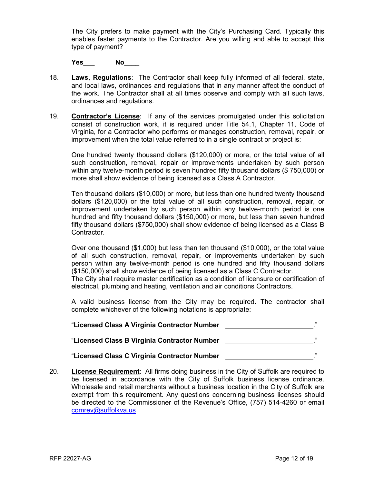The City prefers to make payment with the City's Purchasing Card. Typically this enables faster payments to the Contractor. Are you willing and able to accept this type of payment?

**Yes**\_\_\_ **No**\_\_\_\_

- 18. **Laws, Regulations**: The Contractor shall keep fully informed of all federal, state, and local laws, ordinances and regulations that in any manner affect the conduct of the work. The Contractor shall at all times observe and comply with all such laws, ordinances and regulations.
- 19. **Contractor's License**: If any of the services promulgated under this solicitation consist of construction work, it is required under Title 54.1, Chapter 11, Code of Virginia, for a Contractor who performs or manages construction, removal, repair, or improvement when the total value referred to in a single contract or project is:

One hundred twenty thousand dollars (\$120,000) or more, or the total value of all such construction, removal, repair or improvements undertaken by such person within any twelve-month period is seven hundred fifty thousand dollars (\$ 750,000) or more shall show evidence of being licensed as a Class A Contractor.

Ten thousand dollars (\$10,000) or more, but less than one hundred twenty thousand dollars (\$120,000) or the total value of all such construction, removal, repair, or improvement undertaken by such person within any twelve-month period is one hundred and fifty thousand dollars (\$150,000) or more, but less than seven hundred fifty thousand dollars (\$750,000) shall show evidence of being licensed as a Class B Contractor.

Over one thousand (\$1,000) but less than ten thousand (\$10,000), or the total value of all such construction, removal, repair, or improvements undertaken by such person within any twelve-month period is one hundred and fifty thousand dollars (\$150,000) shall show evidence of being licensed as a Class C Contractor.

The City shall require master certification as a condition of licensure or certification of electrical, plumbing and heating, ventilation and air conditions Contractors.

A valid business license from the City may be required. The contractor shall complete whichever of the following notations is appropriate:

"**Licensed Class A Virginia Contractor Number** ."

"**Licensed Class B Virginia Contractor Number** ."

#### "**Licensed Class C Virginia Contractor Number** ."

20. **License Requirement**: All firms doing business in the City of Suffolk are required to be licensed in accordance with the City of Suffolk business license ordinance. Wholesale and retail merchants without a business location in the City of Suffolk are exempt from this requirement. Any questions concerning business licenses should be directed to the Commissioner of the Revenue's Office, (757) 514-4260 or email [comrev@suffolkva.us](mailto:comrev@suffolkva.us)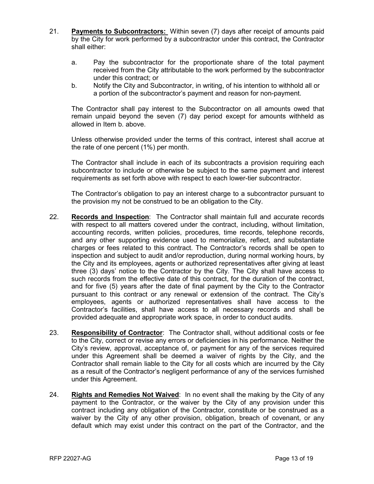- 21. **Payments to Subcontractors:** Within seven (7) days after receipt of amounts paid by the City for work performed by a subcontractor under this contract, the Contractor shall either:
	- a. Pay the subcontractor for the proportionate share of the total payment received from the City attributable to the work performed by the subcontractor under this contract; or
	- b. Notify the City and Subcontractor, in writing, of his intention to withhold all or a portion of the subcontractor's payment and reason for non-payment.

The Contractor shall pay interest to the Subcontractor on all amounts owed that remain unpaid beyond the seven (7) day period except for amounts withheld as allowed in Item b. above.

Unless otherwise provided under the terms of this contract, interest shall accrue at the rate of one percent (1%) per month.

The Contractor shall include in each of its subcontracts a provision requiring each subcontractor to include or otherwise be subject to the same payment and interest requirements as set forth above with respect to each lower-tier subcontractor.

The Contractor's obligation to pay an interest charge to a subcontractor pursuant to the provision my not be construed to be an obligation to the City.

- 22. **Records and Inspection**: The Contractor shall maintain full and accurate records with respect to all matters covered under the contract, including, without limitation, accounting records, written policies, procedures, time records, telephone records, and any other supporting evidence used to memorialize, reflect, and substantiate charges or fees related to this contract. The Contractor's records shall be open to inspection and subject to audit and/or reproduction, during normal working hours, by the City and its employees, agents or authorized representatives after giving at least three (3) days' notice to the Contractor by the City. The City shall have access to such records from the effective date of this contract, for the duration of the contract, and for five (5) years after the date of final payment by the City to the Contractor pursuant to this contract or any renewal or extension of the contract. The City's employees, agents or authorized representatives shall have access to the Contractor's facilities, shall have access to all necessary records and shall be provided adequate and appropriate work space, in order to conduct audits.
- 23. **Responsibility of Contractor**: The Contractor shall, without additional costs or fee to the City, correct or revise any errors or deficiencies in his performance. Neither the City's review, approval, acceptance of, or payment for any of the services required under this Agreement shall be deemed a waiver of rights by the City, and the Contractor shall remain liable to the City for all costs which are incurred by the City as a result of the Contractor's negligent performance of any of the services furnished under this Agreement.
- 24. **Rights and Remedies Not Waived**: In no event shall the making by the City of any payment to the Contractor, or the waiver by the City of any provision under this contract including any obligation of the Contractor, constitute or be construed as a waiver by the City of any other provision, obligation, breach of covenant, or any default which may exist under this contract on the part of the Contractor, and the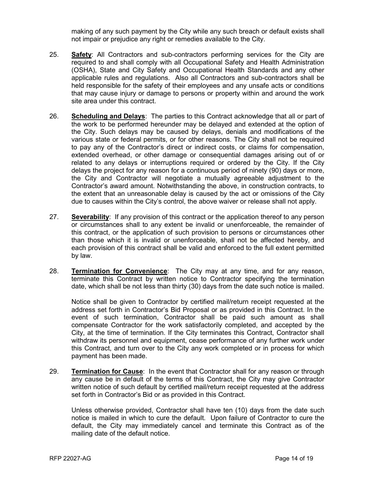making of any such payment by the City while any such breach or default exists shall not impair or prejudice any right or remedies available to the City.

- 25. **Safety**: All Contractors and sub-contractors performing services for the City are required to and shall comply with all Occupational Safety and Health Administration (OSHA), State and City Safety and Occupational Health Standards and any other applicable rules and regulations. Also all Contractors and sub-contractors shall be held responsible for the safety of their employees and any unsafe acts or conditions that may cause injury or damage to persons or property within and around the work site area under this contract.
- 26. **Scheduling and Delays**: The parties to this Contract acknowledge that all or part of the work to be performed hereunder may be delayed and extended at the option of the City. Such delays may be caused by delays, denials and modifications of the various state or federal permits, or for other reasons. The City shall not be required to pay any of the Contractor's direct or indirect costs, or claims for compensation, extended overhead, or other damage or consequential damages arising out of or related to any delays or interruptions required or ordered by the City. If the City delays the project for any reason for a continuous period of ninety (90) days or more, the City and Contractor will negotiate a mutually agreeable adjustment to the Contractor's award amount. Notwithstanding the above, in construction contracts, to the extent that an unreasonable delay is caused by the act or omissions of the City due to causes within the City's control, the above waiver or release shall not apply.
- 27. **Severability**: If any provision of this contract or the application thereof to any person or circumstances shall to any extent be invalid or unenforceable, the remainder of this contract, or the application of such provision to persons or circumstances other than those which it is invalid or unenforceable, shall not be affected hereby, and each provision of this contract shall be valid and enforced to the full extent permitted by law.
- 28. **Termination for Convenience**: The City may at any time, and for any reason, terminate this Contract by written notice to Contractor specifying the termination date, which shall be not less than thirty (30) days from the date such notice is mailed.

Notice shall be given to Contractor by certified mail/return receipt requested at the address set forth in Contractor's Bid Proposal or as provided in this Contract. In the event of such termination, Contractor shall be paid such amount as shall compensate Contractor for the work satisfactorily completed, and accepted by the City, at the time of termination. If the City terminates this Contract, Contractor shall withdraw its personnel and equipment, cease performance of any further work under this Contract, and turn over to the City any work completed or in process for which payment has been made.

29. **Termination for Cause**: In the event that Contractor shall for any reason or through any cause be in default of the terms of this Contract, the City may give Contractor written notice of such default by certified mail/return receipt requested at the address set forth in Contractor's Bid or as provided in this Contract.

Unless otherwise provided, Contractor shall have ten (10) days from the date such notice is mailed in which to cure the default. Upon failure of Contractor to cure the default, the City may immediately cancel and terminate this Contract as of the mailing date of the default notice.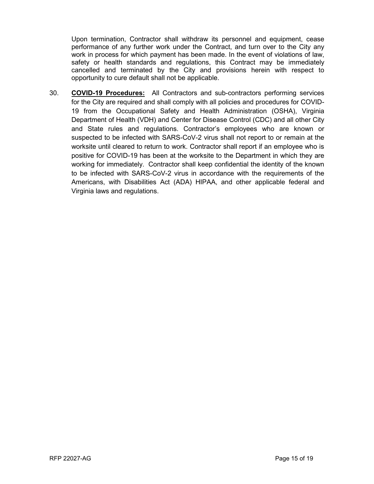Upon termination, Contractor shall withdraw its personnel and equipment, cease performance of any further work under the Contract, and turn over to the City any work in process for which payment has been made. In the event of violations of law, safety or health standards and regulations, this Contract may be immediately cancelled and terminated by the City and provisions herein with respect to opportunity to cure default shall not be applicable.

30. **COVID-19 Procedures:** All Contractors and sub-contractors performing services for the City are required and shall comply with all policies and procedures for COVID-19 from the Occupational Safety and Health Administration (OSHA), Virginia Department of Health (VDH) and Center for Disease Control (CDC) and all other City and State rules and regulations. Contractor's employees who are known or suspected to be infected with SARS-CoV-2 virus shall not report to or remain at the worksite until cleared to return to work. Contractor shall report if an employee who is positive for COVID-19 has been at the worksite to the Department in which they are working for immediately. Contractor shall keep confidential the identity of the known to be infected with SARS-CoV-2 virus in accordance with the requirements of the Americans, with Disabilities Act (ADA) HIPAA, and other applicable federal and Virginia laws and regulations.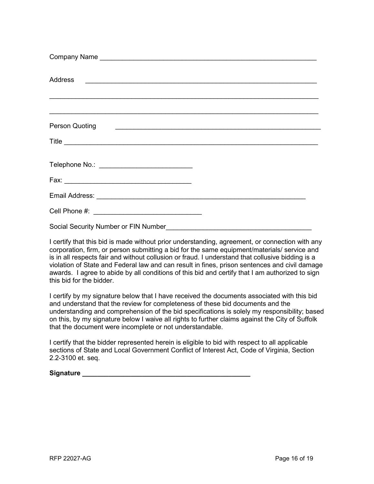| Address                                       |  |  |
|-----------------------------------------------|--|--|
|                                               |  |  |
|                                               |  |  |
| <b>Person Quoting</b>                         |  |  |
|                                               |  |  |
| Telephone No.: ______________________________ |  |  |
|                                               |  |  |
|                                               |  |  |
|                                               |  |  |
| Social Security Number or FIN Number          |  |  |

I certify that this bid is made without prior understanding, agreement, or connection with any corporation, firm, or person submitting a bid for the same equipment/materials/ service and is in all respects fair and without collusion or fraud. I understand that collusive bidding is a violation of State and Federal law and can result in fines, prison sentences and civil damage awards. I agree to abide by all conditions of this bid and certify that I am authorized to sign this bid for the bidder.

I certify by my signature below that I have received the documents associated with this bid and understand that the review for completeness of these bid documents and the understanding and comprehension of the bid specifications is solely my responsibility; based on this, by my signature below I waive all rights to further claims against the City of Suffolk that the document were incomplete or not understandable.

I certify that the bidder represented herein is eligible to bid with respect to all applicable sections of State and Local Government Conflict of Interest Act, Code of Virginia, Section 2.2-3100 et. seq.

Signature **Executive Signature Signature Executive Signature Executive Signature Executive Signature Executive Signature Executive Signature Executive Signature Executive Signature Executive Signature E**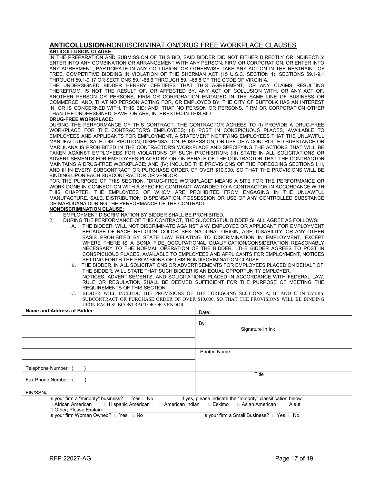#### **ANTICOLLUSION**/NONDISCRIMINATION/DRUG FREE WORKPLACE CLAUSES **ANTICOLLUSION CLAUSE:**

IN THE PREPARATION AND SUBMISSION OF THIS BID, SAID BIDDER DID NOT EITHER DIRECTLY OR INDIRECTLY ENTER INTO ANY COMBINATION OR ARRANGEMENT WITH ANY PERSON, FIRM OR CORPORATION, OR ENTER INTO ANY AGREEMENT, PARTICIPATE IN ANY COLLUSION, OR OTHERWISE TAKE ANY ACTION IN THE RESTRAINT OF FREE, COMPETITIVE BIDDING IN VIOLATION OF THE SHERMAN ACT (15 U.S.C. SECTION 1), SECTIONS 59.1-9.1 THROUGH 59.1-9.17 OR SECTIONS 59.1-68.6 THROUGH 59.1-68.8 OF THE CODE OF VIRGINIA.

THE UNDERSIGNED BIDDER HEREBY CERTIFIES THAT THIS AGREEMENT, OR ANY CLAIMS RESULTING THEREFROM, IS NOT THE RESULT OF, OR AFFECTED BY, ANY ACT OF COLLUSION WITH, OR ANY ACT OF, ANOTHER PERSON OR PERSONS, FIRM OR CORPORATION ENGAGED IN THE SAME LINE OF BUSINESS OR COMMERCE; AND, THAT NO PERSON ACTING FOR, OR EMPLOYED BY, THE CITY OF SUFFOLK HAS AN INTEREST IN, OR IS CONCERNED WITH, THIS BID; AND, THAT NO PERSON OR PERSONS, FIRM OR CORPORATION OTHER THAN THE UNDERSIGNED, HAVE, OR ARE, INTERESTED IN THIS BID.

#### **DRUG-FREE WORKPLACE:**

DURING THE PERFORMANCE OF THIS CONTRACT, THE CONTRACTOR AGREES TO (I) PROVIDE A DRUG-FREE WORKPLACE FOR THE CONTRACTOR'S EMPLOYEES; (II) POST IN CONSPICUOUS PLACES, AVAILABLE TO EMPLOYEES AND APPLICANTS FOR EMPLOYMENT, A STATEMENT NOTIFYING EMPLOYEES THAT THE UNLAWFUL MANUFACTURE, SALE, DISTRIBUTION, DISPENSATION, POSSESSION, OR USE OF A CONTROLLED SUBSTANCE OR MARIJUANA IS PROHIBITED IN THE CONTRACTOR'S WORKPLACE AND SPECIFYING THE ACTIONS THAT WILL BE TAKEN AGAINST EMPLOYEES FOR VIOLATIONS OF SUCH PROHIBITION; (III) STATE IN ALL SOLICITATIONS OR ADVERTISEMENTS FOR EMPLOYEES PLACED BY OR ON BEHALF OF THE CONTRACTOR THAT THE CONTRACTOR MAINTAINS A DRUG-FREE WORKPLACE; AND (IV) INCLUDE THE PROVISIONS OF THE FOREGOING SECTIONS I, II, AND III IN EVERY SUBCONTRACT OR PURCHASE ORDER OF OVER \$10,000, SO THAT THE PROVISIONS WILL BE BINDING UPON EACH SUBCONTRACTOR OR VENDOR.

FOR THE PURPOSE OF THIS SECTION, "DRUG-FREE WORKPLACE" MEANS A SITE FOR THE PERFORMANCE OR WORK DONE IN CONNECTION WITH A SPECIFIC CONTRACT AWARDED TO A CONTRACTOR IN ACCORDANCE WITH THIS CHAPTER, THE EMPLOYEES OF WHOM ARE PROHIBITED FROM ENGAGING IN THE UNLAWFUL MANUFACTURE, SALE, DISTRIBUTION, DISPENSATION, POSSESSION OR USE OF ANY CONTROLLED SUBSTANCE OR MARIJUANA DURING THE PERFORMANCE OF THE CONTRACT.

#### **NONDISCRIMINATION CLAUSE:**

- 1. EMPLOYMENT DISCRIMINATION BY BIDDER SHALL BE PROHIBITED.<br>2. DURING THE PERFORMANCE OF THIS CONTRACT THE SUCCESSEL
- 2. DURING THE PERFORMANCE OF THIS CONTRACT, THE SUCCESSFUL BIDDER SHALL AGREE AS FOLLOWS:
	- A. THE BIDDER, WILL NOT DISCRIMINATE AGAINST ANY EMPLOYEE OR APPLICANT FOR EMPLOYMENT BECAUSE OF RACE, RELIGION, COLOR, SEX, NATIONAL ORIGIN, AGE, DISABILITY, OR ANY OTHER BASIS PROHIBITED BY STATE LAW RELATING TO DISCRIMINATION IN EMPLOYMENT, EXCEPT WHERE THERE IS A BONA FIDE OCCUPATIONAL QUALIFICATION/CONSIDERATION REASONABLY NECESSARY TO THE NORMAL OPERATION OF THE BIDDER. THE BIDDER AGREES TO POST IN CONSPICUOUS PLACES, AVAILABLE TO EMPLOYEES AND APPLICANTS FOR EMPLOYMENT, NOTICES SETTING FORTH THE PROVISIONS OF THIS NONDISCRIMINATION CLAUSE.
	- B. THE BIDDER, IN ALL SOLICITATIONS OR ADVERTISEMENTS FOR EMPLOYEES PLACED ON BEHALF OF THE BIDDER, WILL STATE THAT SUCH BIDDER IS AN EQUAL OPPORTUNITY EMPLOYER. NOTICES, ADVERTISEMENTS, AND SOLICITATIONS PLACED IN ACCORDANCE WITH FEDERAL LAW, RULE OR REGULATION SHALL BE DEEMED SUFFICIENT FOR THE PURPOSE OF MEETING THE REQUIREMENTS OF THIS SECTION.
	- BIDDER WILL INCLUDE THE PROVISIONS OF THE FOREGOING SECTIONS A, B, AND C IN EVERY SUBCONTRACT OR PURCHASE ORDER OF OVER \$10,000, SO THAT THE PROVISIONS WILL BE BINDING UPON EACH SUBCONTRACTOR OR VENDOR.

| Name and Address of Bidder:                                                                                                                                                                                                                                          | Date:                                     |  |
|----------------------------------------------------------------------------------------------------------------------------------------------------------------------------------------------------------------------------------------------------------------------|-------------------------------------------|--|
|                                                                                                                                                                                                                                                                      | By:                                       |  |
|                                                                                                                                                                                                                                                                      | Signature In Ink                          |  |
|                                                                                                                                                                                                                                                                      |                                           |  |
|                                                                                                                                                                                                                                                                      | <b>Printed Name</b>                       |  |
| Telephone Number: (                                                                                                                                                                                                                                                  |                                           |  |
| Fax Phone Number: (                                                                                                                                                                                                                                                  | Title                                     |  |
| FIN/SSN#:                                                                                                                                                                                                                                                            |                                           |  |
| Is your firm a "minority" business? $\Box$ Yes $\Box$ No<br>If yes, please indicate the "minority" classification below:<br>⊟ Eskimo<br>□ African American<br>□ Hispanic American<br>□ American Indian<br>□ Asian American<br>$\Box$ Aleut<br>Other; Please Explain: |                                           |  |
| Is your firm Woman Owned? □ Yes □ No                                                                                                                                                                                                                                 | Is your firm a Small Business? □ Yes □ No |  |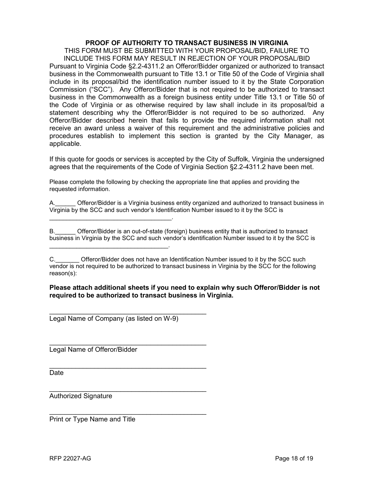#### **PROOF OF AUTHORITY TO TRANSACT BUSINESS IN VIRGINIA**

THIS FORM MUST BE SUBMITTED WITH YOUR PROPOSAL/BID, FAILURE TO INCLUDE THIS FORM MAY RESULT IN REJECTION OF YOUR PROPOSAL/BID Pursuant to Virginia Code §2.2-4311.2 an Offeror/Bidder organized or authorized to transact business in the Commonwealth pursuant to Title 13.1 or Title 50 of the Code of Virginia shall include in its proposal/bid the identification number issued to it by the State Corporation Commission ("SCC"). Any Offeror/Bidder that is not required to be authorized to transact business in the Commonwealth as a foreign business entity under Title 13.1 or Title 50 of the Code of Virginia or as otherwise required by law shall include in its proposal/bid a statement describing why the Offeror/Bidder is not required to be so authorized. Any Offeror/Bidder described herein that fails to provide the required information shall not receive an award unless a waiver of this requirement and the administrative policies and procedures establish to implement this section is granted by the City Manager, as applicable.

If this quote for goods or services is accepted by the City of Suffolk, Virginia the undersigned agrees that the requirements of the Code of Virginia Section §2.2-4311.2 have been met.

Please complete the following by checking the appropriate line that applies and providing the requested information.

Offeror/Bidder is a Virginia business entity organized and authorized to transact business in Virginia by the SCC and such vendor's Identification Number issued to it by the SCC is

B.\_\_\_\_\_\_ Offeror/Bidder is an out-of-state (foreign) business entity that is authorized to transact business in Virginia by the SCC and such vendor's identification Number issued to it by the SCC is

#### **Please attach additional sheets if you need to explain why such Offeror/Bidder is not required to be authorized to transact business in Virginia.**

\_\_\_\_\_\_\_\_\_\_\_\_\_\_\_\_\_\_\_\_\_\_\_\_\_\_\_\_\_\_\_\_\_\_\_\_\_\_\_\_\_\_ Legal Name of Company (as listed on W-9)

 $\mathcal{L}_\text{max}$  , and the contract of the contract of the contract of the contract of the contract of the contract of the contract of the contract of the contract of the contract of the contract of the contract of the contr

 $\mathcal{L}_\text{max}$  , and the contract of the contract of the contract of the contract of the contract of the contract of the contract of the contract of the contract of the contract of the contract of the contract of the contr

 $\mathcal{L}_\mathcal{L}$  , and the set of the set of the set of the set of the set of the set of the set of the set of the set of the set of the set of the set of the set of the set of the set of the set of the set of the set of th

\_\_\_\_\_\_\_\_\_\_\_\_\_\_\_\_\_\_\_\_\_\_\_\_\_\_\_\_\_\_\_\_\_\_\_.

Legal Name of Offeror/Bidder

 $\mathcal{L}_\text{max}$  , and the contract of the contract of the contract of the contract of the contract of the contract of the contract of the contract of the contract of the contract of the contract of the contract of the contr Date

Authorized Signature

 $\frac{1}{2}$  , and the set of the set of the set of the set of the set of the set of the set of the set of the set of the set of the set of the set of the set of the set of the set of the set of the set of the set of the set Print or Type Name and Title

C. C. Offeror/Bidder does not have an Identification Number issued to it by the SCC such vendor is not required to be authorized to transact business in Virginia by the SCC for the following reason(s):